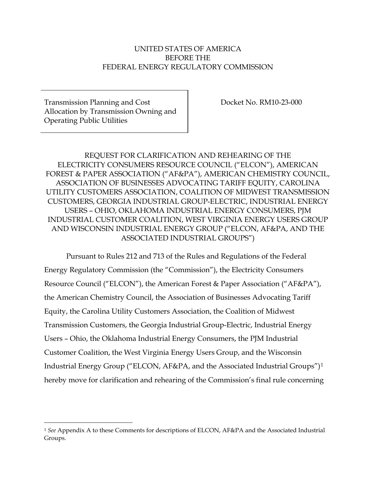# UNITED STATES OF AMERICA BEFORE THE FEDERAL ENERGY REGULATORY COMMISSION

Transmission Planning and Cost Allocation by Transmission Owning and Operating Public Utilities

Docket No. RM10-23-000

REQUEST FOR CLARIFICATION AND REHEARING OF THE ELECTRICITY CONSUMERS RESOURCE COUNCIL ("ELCON"), AMERICAN FOREST & PAPER ASSOCIATION ("AF&PA"), AMERICAN CHEMISTRY COUNCIL, ASSOCIATION OF BUSINESSES ADVOCATING TARIFF EQUITY, CAROLINA UTILITY CUSTOMERS ASSOCIATION, COALITION OF MIDWEST TRANSMISSION CUSTOMERS, GEORGIA INDUSTRIAL GROUP-ELECTRIC, INDUSTRIAL ENERGY USERS – OHIO, OKLAHOMA INDUSTRIAL ENERGY CONSUMERS, PJM INDUSTRIAL CUSTOMER COALITION, WEST VIRGINIA ENERGY USERS GROUP AND WISCONSIN INDUSTRIAL ENERGY GROUP ("ELCON, AF&PA, AND THE ASSOCIATED INDUSTRIAL GROUPS")

Pursuant to Rules 212 and 713 of the Rules and Regulations of the Federal Energy Regulatory Commission (the "Commission"), the Electricity Consumers Resource Council ("ELCON"), the American Forest & Paper Association ("AF&PA"), the American Chemistry Council, the Association of Businesses Advocating Tariff Equity, the Carolina Utility Customers Association, the Coalition of Midwest Transmission Customers, the Georgia Industrial Group-Electric, Industrial Energy Users – Ohio, the Oklahoma Industrial Energy Consumers, the PJM Industrial Customer Coalition, the West Virginia Energy Users Group, and the Wisconsin Industrial Energy Group ("ELCON, AF&PA, and the Associated Industrial Groups")[1](#page-0-0) hereby move for clarification and rehearing of the Commission's final rule concerning

<span id="page-0-0"></span> <sup>1</sup> *See* Appendix A to these Comments for descriptions of ELCON, AF&PA and the Associated Industrial Groups.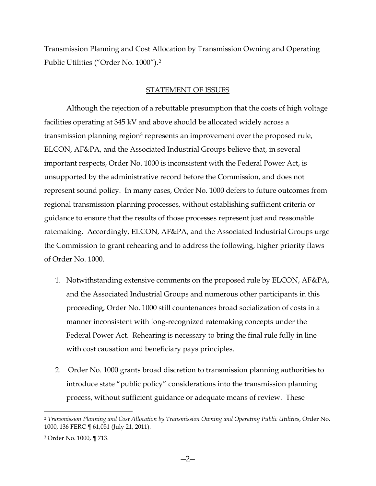Transmission Planning and Cost Allocation by Transmission Owning and Operating Public Utilities ("Order No. 1000").[2](#page-1-0)

### STATEMENT OF ISSUES

Although the rejection of a rebuttable presumption that the costs of high voltage facilities operating at 345 kV and above should be allocated widely across a transmission planning region<sup>3</sup> represents an improvement over the proposed rule, ELCON, AF&PA, and the Associated Industrial Groups believe that, in several important respects, Order No. 1000 is inconsistent with the Federal Power Act, is unsupported by the administrative record before the Commission, and does not represent sound policy. In many cases, Order No. 1000 defers to future outcomes from regional transmission planning processes, without establishing sufficient criteria or guidance to ensure that the results of those processes represent just and reasonable ratemaking. Accordingly, ELCON, AF&PA, and the Associated Industrial Groups urge the Commission to grant rehearing and to address the following, higher priority flaws of Order No. 1000.

- 1. Notwithstanding extensive comments on the proposed rule by ELCON, AF&PA, and the Associated Industrial Groups and numerous other participants in this proceeding, Order No. 1000 still countenances broad socialization of costs in a manner inconsistent with long-recognized ratemaking concepts under the Federal Power Act. Rehearing is necessary to bring the final rule fully in line with cost causation and beneficiary pays principles.
- 2. Order No. 1000 grants broad discretion to transmission planning authorities to introduce state "public policy" considerations into the transmission planning process, without sufficient guidance or adequate means of review. These

<span id="page-1-0"></span> <sup>2</sup> *Transmission Planning and Cost Allocation by Transmission Owning and Operating Public Utilities*, Order No. 1000, 136 FERC ¶ 61,051 (July 21, 2011).

<span id="page-1-1"></span><sup>3</sup> Order No. 1000, ¶ 713.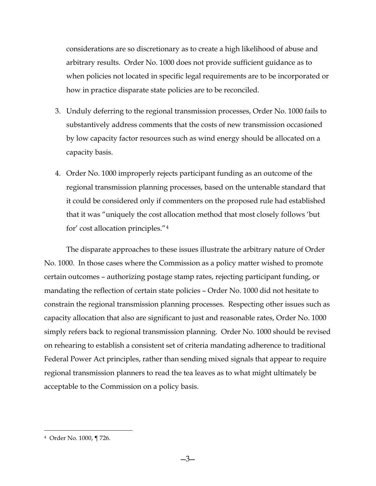considerations are so discretionary as to create a high likelihood of abuse and arbitrary results. Order No. 1000 does not provide sufficient guidance as to when policies not located in specific legal requirements are to be incorporated or how in practice disparate state policies are to be reconciled.

- 3. Unduly deferring to the regional transmission processes, Order No. 1000 fails to substantively address comments that the costs of new transmission occasioned by low capacity factor resources such as wind energy should be allocated on a capacity basis.
- 4. Order No. 1000 improperly rejects participant funding as an outcome of the regional transmission planning processes, based on the untenable standard that it could be considered only if commenters on the proposed rule had established that it was "uniquely the cost allocation method that most closely follows 'but for' cost allocation principles."[4](#page-2-0)

The disparate approaches to these issues illustrate the arbitrary nature of Order No. 1000. In those cases where the Commission as a policy matter wished to promote certain outcomes – authorizing postage stamp rates, rejecting participant funding, or mandating the reflection of certain state policies – Order No. 1000 did not hesitate to constrain the regional transmission planning processes. Respecting other issues such as capacity allocation that also are significant to just and reasonable rates, Order No. 1000 simply refers back to regional transmission planning. Order No. 1000 should be revised on rehearing to establish a consistent set of criteria mandating adherence to traditional Federal Power Act principles, rather than sending mixed signals that appear to require regional transmission planners to read the tea leaves as to what might ultimately be acceptable to the Commission on a policy basis.

<span id="page-2-0"></span> <sup>4</sup> Order No. 1000, ¶ 726.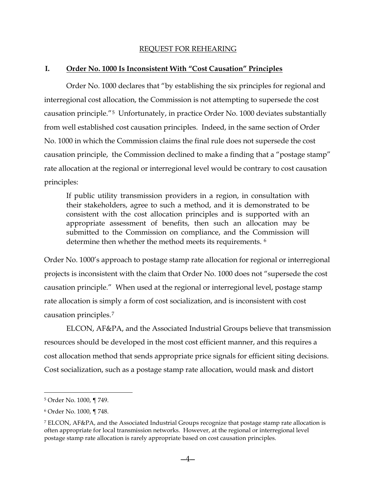### REQUEST FOR REHEARING

### **I. Order No. 1000 Is Inconsistent With "Cost Causation" Principles**

Order No. 1000 declares that "by establishing the six principles for regional and interregional cost allocation, the Commission is not attempting to supersede the cost causation principle."[5](#page-3-0) Unfortunately, in practice Order No. 1000 deviates substantially from well established cost causation principles. Indeed, in the same section of Order No. 1000 in which the Commission claims the final rule does not supersede the cost causation principle, the Commission declined to make a finding that a "postage stamp" rate allocation at the regional or interregional level would be contrary to cost causation principles:

If public utility transmission providers in a region, in consultation with their stakeholders, agree to such a method, and it is demonstrated to be consistent with the cost allocation principles and is supported with an appropriate assessment of benefits, then such an allocation may be submitted to the Commission on compliance, and the Commission will determine then whether the method meets its requirements. [6](#page-3-1)

Order No. 1000's approach to postage stamp rate allocation for regional or interregional projects is inconsistent with the claim that Order No. 1000 does not "supersede the cost causation principle." When used at the regional or interregional level, postage stamp rate allocation is simply a form of cost socialization, and is inconsistent with cost causation principles.[7](#page-3-2)

ELCON, AF&PA, and the Associated Industrial Groups believe that transmission resources should be developed in the most cost efficient manner, and this requires a cost allocation method that sends appropriate price signals for efficient siting decisions. Cost socialization, such as a postage stamp rate allocation, would mask and distort

<span id="page-3-0"></span> <sup>5</sup> Order No. 1000, ¶ 749.

<span id="page-3-1"></span><sup>6</sup> Order No. 1000, ¶ 748.

<span id="page-3-2"></span><sup>7</sup> ELCON, AF&PA, and the Associated Industrial Groups recognize that postage stamp rate allocation is often appropriate for local transmission networks. However, at the regional or interregional level postage stamp rate allocation is rarely appropriate based on cost causation principles.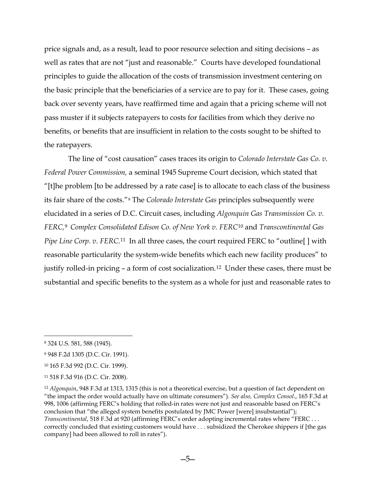price signals and, as a result, lead to poor resource selection and siting decisions – as well as rates that are not "just and reasonable." Courts have developed foundational principles to guide the allocation of the costs of transmission investment centering on the basic principle that the beneficiaries of a service are to pay for it. These cases, going back over seventy years, have reaffirmed time and again that a pricing scheme will not pass muster if it subjects ratepayers to costs for facilities from which they derive no benefits, or benefits that are insufficient in relation to the costs sought to be shifted to the ratepayers.

The line of "cost causation" cases traces its origin to *Colorado Interstate Gas Co. v. Federal Power Commission,* a seminal 1945 Supreme Court decision, which stated that "[t]he problem [to be addressed by a rate case] is to allocate to each class of the business its fair share of the costs."[8](#page-4-0) The *Colorado Interstate Gas* principles subsequently were elucidated in a series of D.C. Circuit cases, including *Algonquin Gas Transmission Co. v. FERC,*[9](#page-4-1) *Complex Consolidated Edison Co. of New York v. FERC*[10](#page-4-2) and *Transcontinental Gas Pipe Line Corp. v. FERC.*<sup>[11](#page-4-3)</sup> In all three cases, the court required FERC to "outline[] with reasonable particularity the system-wide benefits which each new facility produces" to justify rolled-in pricing – a form of cost socialization.[12](#page-4-4) Under these cases, there must be substantial and specific benefits to the system as a whole for just and reasonable rates to

<span id="page-4-0"></span> <sup>8</sup> 324 U.S. 581, 588 (1945).

<span id="page-4-1"></span><sup>9</sup> 948 F.2d 1305 (D.C. Cir. 1991).

<span id="page-4-2"></span><sup>10</sup> 165 F.3d 992 (D.C. Cir. 1999).

<span id="page-4-3"></span><sup>11</sup> 518 F.3d 916 (D.C. Cir. 2008).

<span id="page-4-4"></span><sup>12</sup> *Algonquin*, 948 F.3d at 1313, 1315 (this is not a theoretical exercise, but a question of fact dependent on "the impact the order would actually have on ultimate consumers"). *See also, Complex Consol*., 165 F.3d at 998, 1006 (affirming FERC's holding that rolled-in rates were not just and reasonable based on FERC's conclusion that "the alleged system benefits postulated by JMC Power [were] insubstantial"); *Transcontinental*, 518 F.3d at 920 (affirming FERC's order adopting incremental rates where "FERC . . . correctly concluded that existing customers would have . . . subsidized the Cherokee shippers if [the gas company] had been allowed to roll in rates").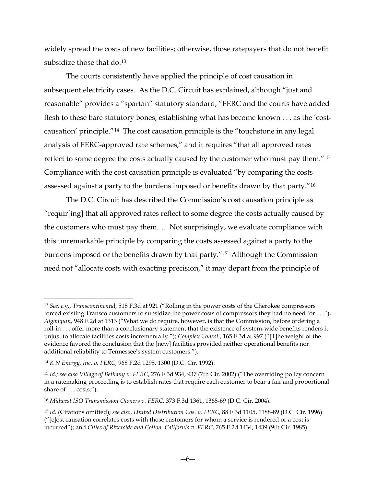widely spread the costs of new facilities; otherwise, those ratepayers that do not benefit subsidize those that do.<sup>[13](#page-5-0)</sup>

The courts consistently have applied the principle of cost causation in subsequent electricity cases. As the D.C. Circuit has explained, although "just and reasonable" provides a "spartan" statutory standard, "FERC and the courts have added flesh to these bare statutory bones, establishing what has become known . . . as the 'costcausation' principle."[14](#page-5-1) The cost causation principle is the "touchstone in any legal analysis of FERC-approved rate schemes," and it requires "that all approved rates reflect to some degree the costs actually caused by the customer who must pay them."[15](#page-5-2) Compliance with the cost causation principle is evaluated "by comparing the costs assessed against a party to the burdens imposed or benefits drawn by that party."[16](#page-5-3)

The D.C. Circuit has described the Commission's cost causation principle as "requir[ing] that all approved rates reflect to some degree the costs actually caused by the customers who must pay them.… Not surprisingly, we evaluate compliance with this unremarkable principle by comparing the costs assessed against a party to the burdens imposed or the benefits drawn by that party."[17](#page-5-4) Although the Commission need not "allocate costs with exacting precision," it may depart from the principle of

<span id="page-5-0"></span> <sup>13</sup> *See, e.g.*, *Transcontinenta*l, 518 F.3d at 921 ("Rolling in the power costs of the Cherokee compressors forced existing Transco customers to subsidize the power costs of compressors they had no need for . . ."), *Algonquin*, 948 F.2d at 1313 ("What we do require, however, is that the Commission, before ordering a roll-in . . . offer more than a conclusionary statement that the existence of system-wide benefits renders it unjust to allocate facilities costs incrementally."); *Complex Consol*., 165 F.3d at 997 ("[T]he weight of the evidence favored the conclusion that the [new] facilities provided neither operational benefits nor additional reliability to Tennessee's system customers.").

<span id="page-5-1"></span><sup>14</sup> *K N Energy, Inc. v. FERC*, 968 F.2d 1295, 1300 (D.C. Cir. 1992).

<span id="page-5-2"></span><sup>15</sup> *Id.; see also Village of Bethany v. FERC*, 276 F.3d 934, 937 (7th Cir. 2002) ("The overriding policy concern in a ratemaking proceeding is to establish rates that require each customer to bear a fair and proportional share of . . . costs.").

<span id="page-5-3"></span><sup>16</sup> *Midwest ISO Transmission Owners v. FERC*, 373 F.3d 1361, 1368-69 (D.C. Cir. 2004).

<span id="page-5-4"></span><sup>17</sup> *Id.* (Citations omitted); *see also, United Distribution Cos. v. FERC*, 88 F.3d 1105, 1188-89 (D.C. Cir. 1996) ("[c]ost causation correlates costs with those customers for whom a service is rendered or a cost is incurred"); and *Cities of Riverside and Colton, California v. FERC*, 765 F.2d 1434, 1439 (9th Cir. 1985).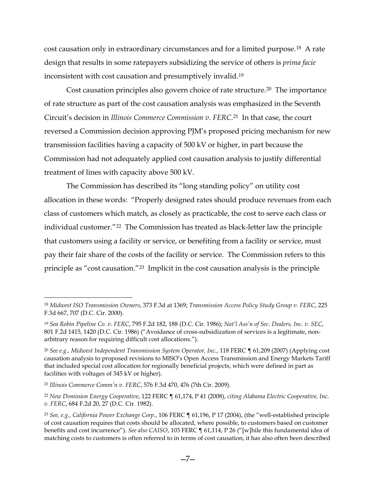cost causation only in extraordinary circumstances and for a limited purpose.[18](#page-6-0) A rate design that results in some ratepayers subsidizing the service of others is *prima facie* inconsistent with cost causation and presumptively invalid.[19](#page-6-1) 

Cost causation principles also govern choice of rate structure.<sup>[20](#page-6-2)</sup> The importance of rate structure as part of the cost causation analysis was emphasized in the Seventh Circuit's decision in *Illinois Commerce Commission v. FERC*.[21](#page-6-3) In that case, the court reversed a Commission decision approving PJM's proposed pricing mechanism for new transmission facilities having a capacity of 500 kV or higher, in part because the Commission had not adequately applied cost causation analysis to justify differential treatment of lines with capacity above 500 kV.

The Commission has described its "long standing policy" on utility cost allocation in these words: "Properly designed rates should produce revenues from each class of customers which match, as closely as practicable, the cost to serve each class or individual customer."[22](#page-6-4) The Commission has treated as black-letter law the principle that customers using a facility or service, or benefiting from a facility or service, must pay their fair share of the costs of the facility or service. The Commission refers to this principle as "cost causation."[23](#page-6-5) Implicit in the cost causation analysis is the principle

<span id="page-6-0"></span> <sup>18</sup> *Midwest ISO Transmission Owners*, 373 F.3d at 1369; *Transmission Access Policy Study Group v. FERC*, 225 F.3d 667, 707 (D.C. Cir. 2000).

<span id="page-6-1"></span><sup>19</sup> *Sea Robin Pipeline Co. v. FERC*, 795 F.2d 182, 188 (D.C. Cir. 1986); *Nat'l Ass'n of Sec. Dealers, Inc. v. SEC*, 801 F.2d 1415, 1420 (D.C. Cir. 1986) ("Avoidance of cross-subsidization of services is a legitimate, nonarbitrary reason for requiring difficult cost allocations.").

<span id="page-6-2"></span><sup>20</sup> *See e.g., Midwest Independent Transmission System Operator, Inc.*, 118 FERC ¶ 61,209 (2007) (Applying cost causation analysis to proposed revisions to MISO's Open Access Transmission and Energy Markets Tariff that included special cost allocation for regionally beneficial projects, which were defined in part as facilities with voltages of 345 kV or higher).

<span id="page-6-3"></span><sup>21</sup> *Illinois Commerce Comm'n v. FERC*, 576 F.3d 470, 476 (7th Cir. 2009).

<span id="page-6-4"></span><sup>22</sup> *New Dominion Energy Cooperative*, 122 FERC ¶ 61,174, P 41 (2008), *citing Alabama Electric Cooperative, Inc. v. FERC*, 684 F.2d 20, 27 (D.C. Cir. 1982).

<span id="page-6-5"></span><sup>23</sup> *See, e.g., California Power Exchange Corp.*, 106 FERC ¶ 61,196, P 17 (2004), (the "well-established principle of cost causation requires that costs should be allocated, where possible, to customers based on customer benefits and cost incurrence"). *See also CAISO*, 103 FERC ¶ 61,114, P 26 ("[w]hile this fundamental idea of matching costs to customers is often referred to in terms of cost causation, it has also often been described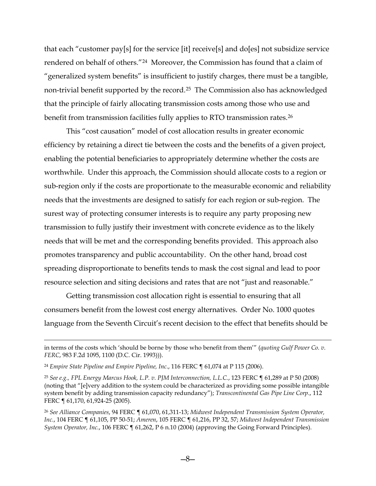that each "customer pay[s] for the service [it] receive[s] and do[es] not subsidize service rendered on behalf of others."[24](#page-7-0) Moreover, the Commission has found that a claim of "generalized system benefits" is insufficient to justify charges, there must be a tangible, non-trivial benefit supported by the record.[25](#page-7-1) The Commission also has acknowledged that the principle of fairly allocating transmission costs among those who use and benefit from transmission facilities fully applies to RTO transmission rates.<sup>[26](#page-7-2)</sup>

This "cost causation" model of cost allocation results in greater economic efficiency by retaining a direct tie between the costs and the benefits of a given project, enabling the potential beneficiaries to appropriately determine whether the costs are worthwhile. Under this approach, the Commission should allocate costs to a region or sub-region only if the costs are proportionate to the measurable economic and reliability needs that the investments are designed to satisfy for each region or sub-region. The surest way of protecting consumer interests is to require any party proposing new transmission to fully justify their investment with concrete evidence as to the likely needs that will be met and the corresponding benefits provided. This approach also promotes transparency and public accountability. On the other hand, broad cost spreading disproportionate to benefits tends to mask the cost signal and lead to poor resource selection and siting decisions and rates that are not "just and reasonable."

Getting transmission cost allocation right is essential to ensuring that all consumers benefit from the lowest cost energy alternatives. Order No. 1000 quotes language from the Seventh Circuit's recent decision to the effect that benefits should be

 $\overline{a}$ 

in terms of the costs which 'should be borne by those who benefit from them'" (*quoting Gulf Power Co. v. FERC*, 983 F.2d 1095, 1100 (D.C. Cir. 1993))).

<span id="page-7-0"></span><sup>24</sup> *Empire State Pipeline and Empire Pipeline, Inc*., 116 FERC ¶ 61,074 at P 115 (2006).

<span id="page-7-1"></span><sup>25</sup> *See e.g., FPL Energy Marcus Hook, L.P. v. PJM Interconnection, L.L.C.*, 123 FERC ¶ 61,289 at P 50 (2008) (noting that "[e]very addition to the system could be characterized as providing some possible intangible system benefit by adding transmission capacity redundancy"); *Transcontinental Gas Pipe Line Corp*., 112 FERC ¶ 61,170, 61,924-25 (2005).

<span id="page-7-2"></span><sup>26</sup> *See Alliance Companies*, 94 FERC ¶ 61,070, 61,311-13; *Midwest Independent Transmission System Operator, Inc.*, 104 FERC ¶ 61,105, PP 50-51; *Ameren*, 105 FERC ¶ 61,216, PP 32, 57; *Midwest Independent Transmission System Operator, Inc.*, 106 FERC ¶ 61,262, P 6 n.10 (2004) (approving the Going Forward Principles).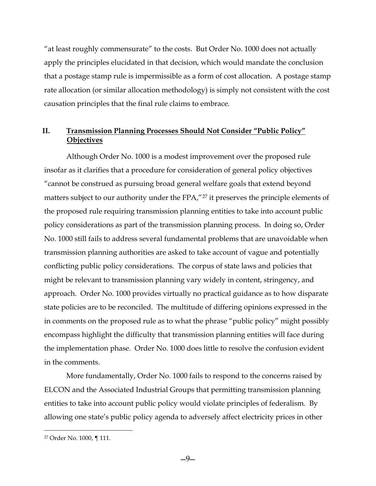"at least roughly commensurate" to the costs. But Order No. 1000 does not actually apply the principles elucidated in that decision, which would mandate the conclusion that a postage stamp rule is impermissible as a form of cost allocation. A postage stamp rate allocation (or similar allocation methodology) is simply not consistent with the cost causation principles that the final rule claims to embrace.

# **II. Transmission Planning Processes Should Not Consider "Public Policy" Objectives**

Although Order No. 1000 is a modest improvement over the proposed rule insofar as it clarifies that a procedure for consideration of general policy objectives "cannot be construed as pursuing broad general welfare goals that extend beyond matters subject to our authority under the FPA,"<sup>[27](#page-8-0)</sup> it preserves the principle elements of the proposed rule requiring transmission planning entities to take into account public policy considerations as part of the transmission planning process. In doing so, Order No. 1000 still fails to address several fundamental problems that are unavoidable when transmission planning authorities are asked to take account of vague and potentially conflicting public policy considerations. The corpus of state laws and policies that might be relevant to transmission planning vary widely in content, stringency, and approach. Order No. 1000 provides virtually no practical guidance as to how disparate state policies are to be reconciled. The multitude of differing opinions expressed in the in comments on the proposed rule as to what the phrase "public policy" might possibly encompass highlight the difficulty that transmission planning entities will face during the implementation phase. Order No. 1000 does little to resolve the confusion evident in the comments.

More fundamentally, Order No. 1000 fails to respond to the concerns raised by ELCON and the Associated Industrial Groups that permitting transmission planning entities to take into account public policy would violate principles of federalism. By allowing one state's public policy agenda to adversely affect electricity prices in other

<span id="page-8-0"></span> <sup>27</sup> Order No. 1000, ¶ 111.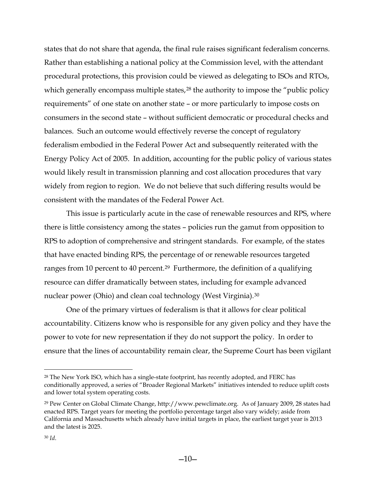states that do not share that agenda, the final rule raises significant federalism concerns. Rather than establishing a national policy at the Commission level, with the attendant procedural protections, this provision could be viewed as delegating to ISOs and RTOs, which generally encompass multiple states,<sup>[28](#page-9-0)</sup> the authority to impose the "public policy requirements" of one state on another state – or more particularly to impose costs on consumers in the second state – without sufficient democratic or procedural checks and balances. Such an outcome would effectively reverse the concept of regulatory federalism embodied in the Federal Power Act and subsequently reiterated with the Energy Policy Act of 2005. In addition, accounting for the public policy of various states would likely result in transmission planning and cost allocation procedures that vary widely from region to region. We do not believe that such differing results would be consistent with the mandates of the Federal Power Act.

This issue is particularly acute in the case of renewable resources and RPS, where there is little consistency among the states – policies run the gamut from opposition to RPS to adoption of comprehensive and stringent standards. For example, of the states that have enacted binding RPS, the percentage of or renewable resources targeted ranges from 10 percent to 40 percent.<sup>29</sup> Furthermore, the definition of a qualifying resource can differ dramatically between states, including for example advanced nuclear power (Ohio) and clean coal technology (West Virginia).[30](#page-9-2)

One of the primary virtues of federalism is that it allows for clear political accountability. Citizens know who is responsible for any given policy and they have the power to vote for new representation if they do not support the policy. In order to ensure that the lines of accountability remain clear, the Supreme Court has been vigilant

<span id="page-9-0"></span> <sup>28</sup> The New York ISO, which has a single-state footprint, has recently adopted, and FERC has conditionally approved, a series of "Broader Regional Markets" initiatives intended to reduce uplift costs and lower total system operating costs.

<span id="page-9-2"></span><span id="page-9-1"></span><sup>29</sup> Pew Center on Global Climate Change, http://www.pewclimate.org. As of January 2009, 28 states had enacted RPS. Target years for meeting the portfolio percentage target also vary widely; aside from California and Massachusetts which already have initial targets in place, the earliest target year is 2013 and the latest is 2025.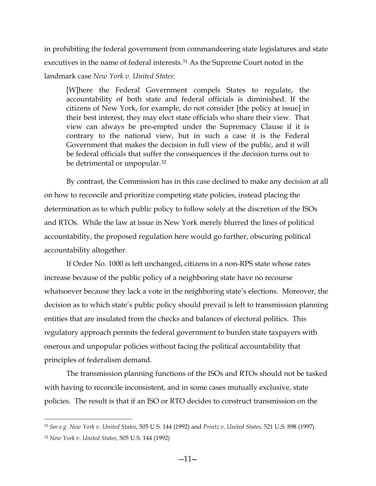in prohibiting the federal government from commandeering state legislatures and state executives in the name of federal interests.<sup>[31](#page-10-0)</sup> As the Supreme Court noted in the landmark case *New York v. United States*:

[W]here the Federal Government compels States to regulate, the accountability of both state and federal officials is diminished. If the citizens of New York, for example, do not consider [the policy at issue] in their best interest, they may elect state officials who share their view. That view can always be pre-empted under the Supremacy Clause if it is contrary to the national view, but in such a case it is the Federal Government that makes the decision in full view of the public, and it will be federal officials that suffer the consequences if the decision turns out to be detrimental or unpopular.<sup>32</sup>

By contrast, the Commission has in this case declined to make any decision at all on how to reconcile and prioritize competing state policies, instead placing the determination as to which public policy to follow solely at the discretion of the ISOs and RTOs. While the law at issue in New York merely blurred the lines of political accountability, the proposed regulation here would go further, obscuring political accountability altogether.

If Order No. 1000 is left unchanged, citizens in a non-RPS state whose rates increase because of the public policy of a neighboring state have no recourse whatsoever because they lack a vote in the neighboring state's elections. Moreover, the decision as to which state's public policy should prevail is left to transmission planning entities that are insulated from the checks and balances of electoral politics. This regulatory approach permits the federal government to burden state taxpayers with onerous and unpopular policies without facing the political accountability that principles of federalism demand.

The transmission planning functions of the ISOs and RTOs should not be tasked with having to reconcile inconsistent, and in some cases mutually exclusive, state policies. The result is that if an ISO or RTO decides to construct transmission on the

<span id="page-10-0"></span> <sup>31</sup> *See e.g. New York v. United States*, 505 U.S. 144 (1992) and *Printz v. United States*, 521 U.S. 898 (1997).

<span id="page-10-1"></span><sup>32</sup> *New York v. United States*, 505 U.S. 144 (1992)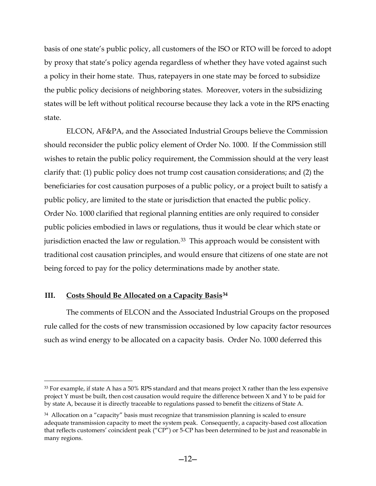basis of one state's public policy, all customers of the ISO or RTO will be forced to adopt by proxy that state's policy agenda regardless of whether they have voted against such a policy in their home state. Thus, ratepayers in one state may be forced to subsidize the public policy decisions of neighboring states. Moreover, voters in the subsidizing states will be left without political recourse because they lack a vote in the RPS enacting state.

ELCON, AF&PA, and the Associated Industrial Groups believe the Commission should reconsider the public policy element of Order No. 1000. If the Commission still wishes to retain the public policy requirement, the Commission should at the very least clarify that: (1) public policy does not trump cost causation considerations; and (2) the beneficiaries for cost causation purposes of a public policy, or a project built to satisfy a public policy, are limited to the state or jurisdiction that enacted the public policy. Order No. 1000 clarified that regional planning entities are only required to consider public policies embodied in laws or regulations, thus it would be clear which state or jurisdiction enacted the law or regulation.<sup>[33](#page-11-0)</sup> This approach would be consistent with traditional cost causation principles, and would ensure that citizens of one state are not being forced to pay for the policy determinations made by another state.

# **III. Costs Should Be Allocated on a Capacity Basis[34](#page-11-1)**

The comments of ELCON and the Associated Industrial Groups on the proposed rule called for the costs of new transmission occasioned by low capacity factor resources such as wind energy to be allocated on a capacity basis. Order No. 1000 deferred this

<span id="page-11-0"></span> $33$  For example, if state A has a 50% RPS standard and that means project X rather than the less expensive project Y must be built, then cost causation would require the difference between X and Y to be paid for by state A, because it is directly traceable to regulations passed to benefit the citizens of State A.

<span id="page-11-1"></span><sup>&</sup>lt;sup>34</sup> Allocation on a "capacity" basis must recognize that transmission planning is scaled to ensure adequate transmission capacity to meet the system peak. Consequently, a capacity-based cost allocation that reflects customers' coincident peak ("CP") or 5-CP has been determined to be just and reasonable in many regions.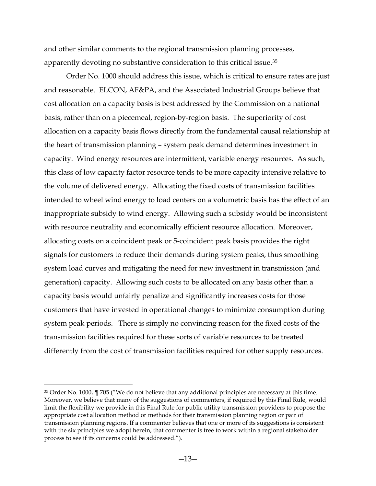and other similar comments to the regional transmission planning processes, apparently devoting no substantive consideration to this critical issue.[35](#page-12-0)

Order No. 1000 should address this issue, which is critical to ensure rates are just and reasonable. ELCON, AF&PA, and the Associated Industrial Groups believe that cost allocation on a capacity basis is best addressed by the Commission on a national basis, rather than on a piecemeal, region-by-region basis. The superiority of cost allocation on a capacity basis flows directly from the fundamental causal relationship at the heart of transmission planning – system peak demand determines investment in capacity. Wind energy resources are intermittent, variable energy resources. As such, this class of low capacity factor resource tends to be more capacity intensive relative to the volume of delivered energy. Allocating the fixed costs of transmission facilities intended to wheel wind energy to load centers on a volumetric basis has the effect of an inappropriate subsidy to wind energy. Allowing such a subsidy would be inconsistent with resource neutrality and economically efficient resource allocation. Moreover, allocating costs on a coincident peak or 5-coincident peak basis provides the right signals for customers to reduce their demands during system peaks, thus smoothing system load curves and mitigating the need for new investment in transmission (and generation) capacity. Allowing such costs to be allocated on any basis other than a capacity basis would unfairly penalize and significantly increases costs for those customers that have invested in operational changes to minimize consumption during system peak periods. There is simply no convincing reason for the fixed costs of the transmission facilities required for these sorts of variable resources to be treated differently from the cost of transmission facilities required for other supply resources.

<span id="page-12-0"></span> <sup>35</sup> Order No. 1000, ¶ 705 ("We do not believe that any additional principles are necessary at this time. Moreover, we believe that many of the suggestions of commenters, if required by this Final Rule, would limit the flexibility we provide in this Final Rule for public utility transmission providers to propose the appropriate cost allocation method or methods for their transmission planning region or pair of transmission planning regions. If a commenter believes that one or more of its suggestions is consistent with the six principles we adopt herein, that commenter is free to work within a regional stakeholder process to see if its concerns could be addressed.").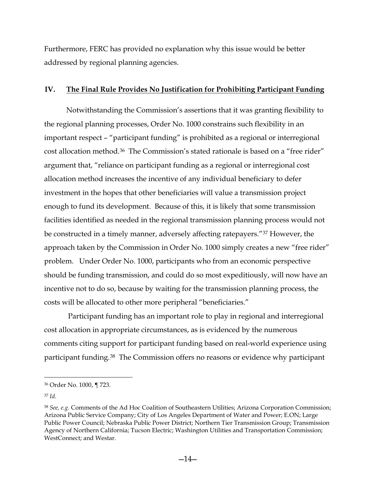Furthermore, FERC has provided no explanation why this issue would be better addressed by regional planning agencies.

## **IV. The Final Rule Provides No Justification for Prohibiting Participant Funding**

Notwithstanding the Commission's assertions that it was granting flexibility to the regional planning processes, Order No. 1000 constrains such flexibility in an important respect – "participant funding" is prohibited as a regional or interregional cost allocation method.[36](#page-13-0) The Commission's stated rationale is based on a "free rider" argument that, "reliance on participant funding as a regional or interregional cost allocation method increases the incentive of any individual beneficiary to defer investment in the hopes that other beneficiaries will value a transmission project enough to fund its development. Because of this, it is likely that some transmission facilities identified as needed in the regional transmission planning process would not be constructed in a timely manner, adversely affecting ratepayers."[37](#page-13-1) However, the approach taken by the Commission in Order No. 1000 simply creates a new "free rider" problem. Under Order No. 1000, participants who from an economic perspective should be funding transmission, and could do so most expeditiously, will now have an incentive not to do so, because by waiting for the transmission planning process, the costs will be allocated to other more peripheral "beneficiaries."

Participant funding has an important role to play in regional and interregional cost allocation in appropriate circumstances, as is evidenced by the numerous comments citing support for participant funding based on real-world experience using participant funding.[38](#page-13-2) The Commission offers no reasons or evidence why participant

<span id="page-13-1"></span><sup>37</sup> *Id*.

<span id="page-13-0"></span> <sup>36</sup> Order No. 1000, ¶ 723.

<span id="page-13-2"></span><sup>38</sup> *See, e.g.* Comments of the Ad Hoc Coalition of Southeastern Utilities; Arizona Corporation Commission; Arizona Public Service Company; City of Los Angeles Department of Water and Power; E.ON; Large Public Power Council; Nebraska Public Power District; Northern Tier Transmission Group; Transmission Agency of Northern California; Tucson Electric; Washington Utilities and Transportation Commission; WestConnect; and Westar.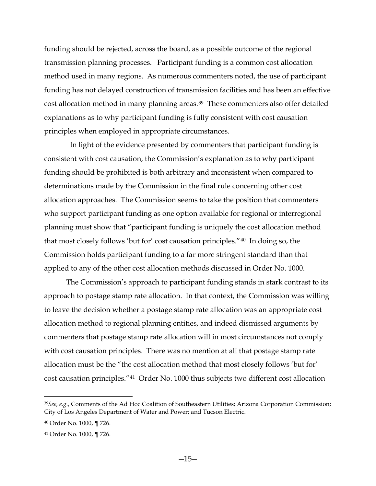funding should be rejected, across the board, as a possible outcome of the regional transmission planning processes. Participant funding is a common cost allocation method used in many regions. As numerous commenters noted, the use of participant funding has not delayed construction of transmission facilities and has been an effective cost allocation method in many planning areas.<sup>[39](#page-14-0)</sup> These commenters also offer detailed explanations as to why participant funding is fully consistent with cost causation principles when employed in appropriate circumstances.

 In light of the evidence presented by commenters that participant funding is consistent with cost causation, the Commission's explanation as to why participant funding should be prohibited is both arbitrary and inconsistent when compared to determinations made by the Commission in the final rule concerning other cost allocation approaches. The Commission seems to take the position that commenters who support participant funding as one option available for regional or interregional planning must show that "participant funding is uniquely the cost allocation method that most closely follows 'but for' cost causation principles."[40](#page-14-1) In doing so, the Commission holds participant funding to a far more stringent standard than that applied to any of the other cost allocation methods discussed in Order No. 1000.

The Commission's approach to participant funding stands in stark contrast to its approach to postage stamp rate allocation. In that context, the Commission was willing to leave the decision whether a postage stamp rate allocation was an appropriate cost allocation method to regional planning entities, and indeed dismissed arguments by commenters that postage stamp rate allocation will in most circumstances not comply with cost causation principles. There was no mention at all that postage stamp rate allocation must be the "the cost allocation method that most closely follows 'but for' cost causation principles."[41](#page-14-2) Order No. 1000 thus subjects two different cost allocation

<span id="page-14-0"></span> <sup>39</sup>*See, e.g.*, Comments of the Ad Hoc Coalition of Southeastern Utilities; Arizona Corporation Commission; City of Los Angeles Department of Water and Power; and Tucson Electric.

<span id="page-14-1"></span><sup>40</sup> Order No. 1000, ¶ 726.

<span id="page-14-2"></span><sup>41</sup> Order No. 1000, ¶ 726.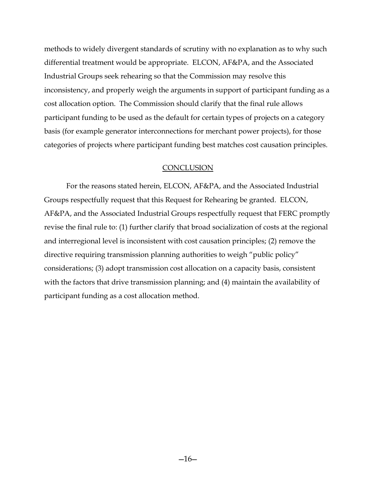methods to widely divergent standards of scrutiny with no explanation as to why such differential treatment would be appropriate. ELCON, AF&PA, and the Associated Industrial Groups seek rehearing so that the Commission may resolve this inconsistency, and properly weigh the arguments in support of participant funding as a cost allocation option. The Commission should clarify that the final rule allows participant funding to be used as the default for certain types of projects on a category basis (for example generator interconnections for merchant power projects), for those categories of projects where participant funding best matches cost causation principles.

#### **CONCLUSION**

For the reasons stated herein, ELCON, AF&PA, and the Associated Industrial Groups respectfully request that this Request for Rehearing be granted. ELCON, AF&PA, and the Associated Industrial Groups respectfully request that FERC promptly revise the final rule to: (1) further clarify that broad socialization of costs at the regional and interregional level is inconsistent with cost causation principles; (2) remove the directive requiring transmission planning authorities to weigh "public policy" considerations; (3) adopt transmission cost allocation on a capacity basis, consistent with the factors that drive transmission planning; and (4) maintain the availability of participant funding as a cost allocation method.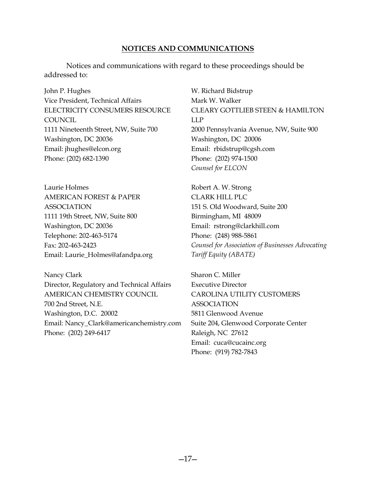# **NOTICES AND COMMUNICATIONS**

Notices and communications with regard to these proceedings should be addressed to:

John P. Hughes Vice President, Technical Affairs ELECTRICITY CONSUMERS RESOURCE COUNCIL 1111 Nineteenth Street, NW, Suite 700 Washington, DC 20036 Email: jhughes@elcon.org Phone: (202) 682-1390

Laurie Holmes AMERICAN FOREST & PAPER ASSOCIATION 1111 19th Street, NW, Suite 800 Washington, DC 20036 Telephone: 202-463-5174 Fax: 202-463-2423 Email: Laurie\_Holmes@afandpa.org

Nancy Clark Director, Regulatory and Technical Affairs AMERICAN CHEMISTRY COUNCIL 700 2nd Street, N.E. Washington, D.C. 20002 Email: Nancy\_Clark@americanchemistry.com Phone: (202) 249-6417

W. Richard Bidstrup Mark W. Walker CLEARY GOTTLIEB STEEN & HAMILTON LLP 2000 Pennsylvania Avenue, NW, Suite 900 Washington, DC 20006 Email: rbidstrup@cgsh.com Phone: (202) 974-1500 *Counsel for ELCON*

Robert A. W. Strong CLARK HILL PLC 151 S. Old Woodward, Suite 200 Birmingham, MI 48009 Email: rstrong@clarkhill.com Phone: (248) 988-5861 *Counsel for Association of Businesses Advocating Tariff Equity (ABATE)*

Sharon C. Miller Executive Director CAROLINA UTILITY CUSTOMERS ASSOCIATION 5811 Glenwood Avenue Suite 204, Glenwood Corporate Center Raleigh, NC 27612 Email: cuca@cucainc.org Phone: (919) 782-7843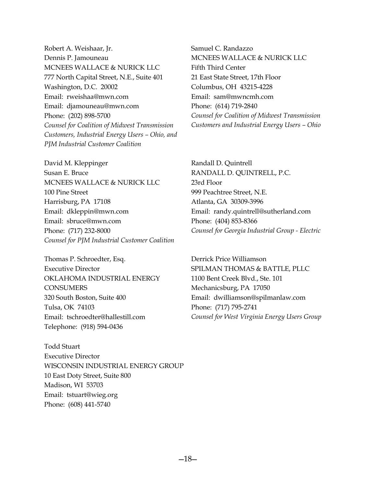Robert A. Weishaar, Jr. Dennis P. Jamouneau MCNEES WALLACE & NURICK LLC 777 North Capital Street, N.E., Suite 401 Washington, D.C. 20002 Email: rweishaa@mwn.com Email: djamouneau@mwn.com Phone: (202) 898-5700 *Counsel for Coalition of Midwest Transmission Customers, Industrial Energy Users – Ohio, and PJM Industrial Customer Coalition*

David M. Kleppinger Susan E. Bruce MCNEES WALLACE & NURICK LLC 100 Pine Street Harrisburg, PA 17108 Email: dkleppin@mwn.com Email: sbruce@mwn.com Phone: (717) 232-8000 *Counsel for PJM Industrial Customer Coalition*

Thomas P. Schroedter, Esq. Executive Director OKLAHOMA INDUSTRIAL ENERGY **CONSUMERS** 320 South Boston, Suite 400 Tulsa, OK 74103 Email: tschroedter@hallestill.com Telephone: (918) 594-0436

Todd Stuart Executive Director WISCONSIN INDUSTRIAL ENERGY GROUP 10 East Doty Street, Suite 800 Madison, WI 53703 Email: tstuart@wieg.org Phone: (608) 441-5740

Samuel C. Randazzo MCNEES WALLACE & NURICK LLC Fifth Third Center 21 East State Street, 17th Floor Columbus, OH 43215-4228 Email: sam@mwncmh.com Phone: (614) 719-2840 *Counsel for Coalition of Midwest Transmission Customers and Industrial Energy Users – Ohio*

Randall D. Quintrell RANDALL D. QUINTRELL, P.C. 23rd Floor 999 Peachtree Street, N.E. Atlanta, GA 30309-3996 Email: randy.quintrell@sutherland.com Phone: (404) 853-8366 *Counsel for Georgia Industrial Group - Electric*

Derrick Price Williamson SPILMAN THOMAS & BATTLE, PLLC 1100 Bent Creek Blvd., Ste. 101 Mechanicsburg, PA 17050 Email: dwilliamson@spilmanlaw.com Phone: (717) 795-2741 *Counsel for West Virginia Energy Users Group*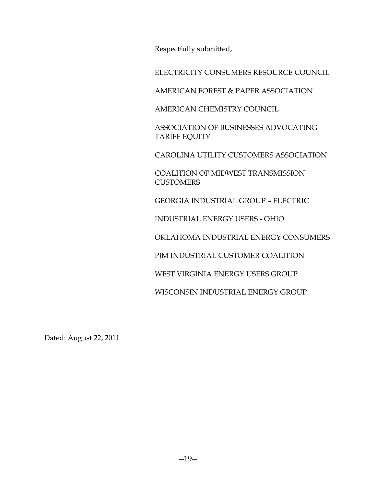Respectfully submitted,

ELECTRICITY CONSUMERS RESOURCE COUNCIL

AMERICAN FOREST & PAPER ASSOCIATION

AMERICAN CHEMISTRY COUNCIL

ASSOCIATION OF BUSINESSES ADVOCATING TARIFF EQUITY

CAROLINA UTILITY CUSTOMERS ASSOCIATION

COALITION OF MIDWEST TRANSMISSION **CUSTOMERS** 

GEORGIA INDUSTRIAL GROUP – ELECTRIC

INDUSTRIAL ENERGY USERS - OHIO

OKLAHOMA INDUSTRIAL ENERGY CONSUMERS

PJM INDUSTRIAL CUSTOMER COALITION

WEST VIRGINIA ENERGY USERS GROUP

WISCONSIN INDUSTRIAL ENERGY GROUP

Dated: August 22, 2011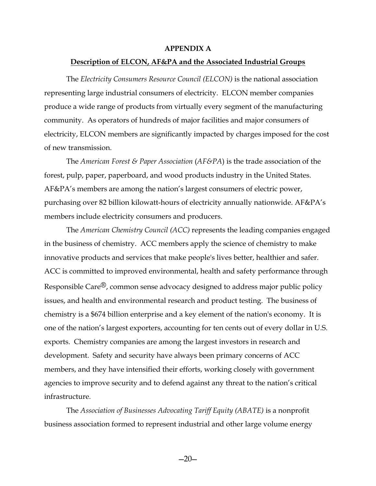#### **APPENDIX A**

#### **Description of ELCON, AF&PA and the Associated Industrial Groups**

The *Electricity Consumers Resource Council (ELCON)* is the national association representing large industrial consumers of electricity. ELCON member companies produce a wide range of products from virtually every segment of the manufacturing community. As operators of hundreds of major facilities and major consumers of electricity, ELCON members are significantly impacted by charges imposed for the cost of new transmission.

The *American Forest & Paper Association* (*AF&PA*) is the trade association of the forest, pulp, paper, paperboard, and wood products industry in the United States. AF&PA's members are among the nation's largest consumers of electric power, purchasing over 82 billion kilowatt-hours of electricity annually nationwide. AF&PA's members include electricity consumers and producers.

The *American Chemistry Council (ACC)* represents the leading companies engaged in the business of chemistry. ACC members apply the science of chemistry to make innovative products and services that make people's lives better, healthier and safer. ACC is committed to improved environmental, health and safety performance through Responsible Care<sup>®</sup>, common sense advocacy designed to address major public policy issues, and health and environmental research and product testing. The business of chemistry is a \$674 billion enterprise and a key element of the nation's economy. It is one of the nation's largest exporters, accounting for ten cents out of every dollar in U.S. exports. Chemistry companies are among the largest investors in research and development. Safety and security have always been primary concerns of ACC members, and they have intensified their efforts, working closely with government agencies to improve security and to defend against any threat to the nation's critical infrastructure*.*

The *Association of Businesses Advocating Tariff Equity (ABATE)* is a nonprofit business association formed to represent industrial and other large volume energy

 $-20-$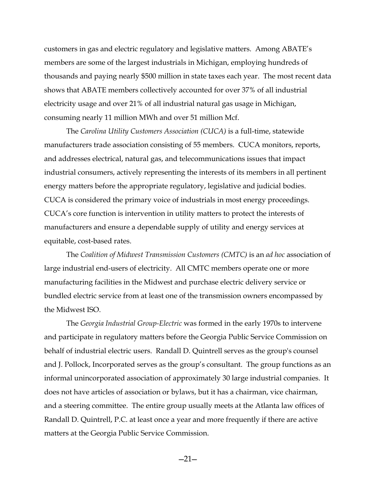customers in gas and electric regulatory and legislative matters. Among ABATE's members are some of the largest industrials in Michigan, employing hundreds of thousands and paying nearly \$500 million in state taxes each year. The most recent data shows that ABATE members collectively accounted for over 37% of all industrial electricity usage and over 21% of all industrial natural gas usage in Michigan, consuming nearly 11 million MWh and over 51 million Mcf.

The *Carolina Utility Customers Association (CUCA)* is a full-time, statewide manufacturers trade association consisting of 55 members. CUCA monitors, reports, and addresses electrical, natural gas, and telecommunications issues that impact industrial consumers, actively representing the interests of its members in all pertinent energy matters before the appropriate regulatory, legislative and judicial bodies. CUCA is considered the primary voice of industrials in most energy proceedings. CUCA's core function is intervention in utility matters to protect the interests of manufacturers and ensure a dependable supply of utility and energy services at equitable, cost-based rates.

The *Coalition of Midwest Transmission Customers (CMTC)* is an *ad hoc* association of large industrial end-users of electricity. All CMTC members operate one or more manufacturing facilities in the Midwest and purchase electric delivery service or bundled electric service from at least one of the transmission owners encompassed by the Midwest ISO.

The *Georgia Industrial Group-Electric* was formed in the early 1970s to intervene and participate in regulatory matters before the Georgia Public Service Commission on behalf of industrial electric users. Randall D. Quintrell serves as the group's counsel and J. Pollock, Incorporated serves as the group's consultant. The group functions as an informal unincorporated association of approximately 30 large industrial companies. It does not have articles of association or bylaws, but it has a chairman, vice chairman, and a steering committee. The entire group usually meets at the Atlanta law offices of Randall D. Quintrell, P.C. at least once a year and more frequently if there are active matters at the Georgia Public Service Commission.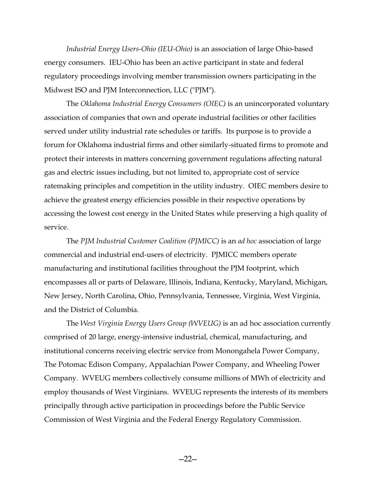*Industrial Energy Users-Ohio (IEU-Ohio)* is an association of large Ohio-based energy consumers. IEU-Ohio has been an active participant in state and federal regulatory proceedings involving member transmission owners participating in the Midwest ISO and PJM Interconnection, LLC ("PJM").

The *Oklahoma Industrial Energy Consumers (OIEC)* is an unincorporated voluntary association of companies that own and operate industrial facilities or other facilities served under utility industrial rate schedules or tariffs. Its purpose is to provide a forum for Oklahoma industrial firms and other similarly-situated firms to promote and protect their interests in matters concerning government regulations affecting natural gas and electric issues including, but not limited to, appropriate cost of service ratemaking principles and competition in the utility industry. OIEC members desire to achieve the greatest energy efficiencies possible in their respective operations by accessing the lowest cost energy in the United States while preserving a high quality of service.

The *PJM Industrial Customer Coalition (PJMICC)* is an *ad hoc* association of large commercial and industrial end-users of electricity. PJMICC members operate manufacturing and institutional facilities throughout the PJM footprint, which encompasses all or parts of Delaware, Illinois, Indiana, Kentucky, Maryland, Michigan, New Jersey, North Carolina, Ohio, Pennsylvania, Tennessee, Virginia, West Virginia, and the District of Columbia.

The *West Virginia Energy Users Group (WVEUG)* is an ad hoc association currently comprised of 20 large, energy-intensive industrial, chemical, manufacturing, and institutional concerns receiving electric service from Monongahela Power Company, The Potomac Edison Company, Appalachian Power Company, and Wheeling Power Company. WVEUG members collectively consume millions of MWh of electricity and employ thousands of West Virginians. WVEUG represents the interests of its members principally through active participation in proceedings before the Public Service Commission of West Virginia and the Federal Energy Regulatory Commission.

 $-22-$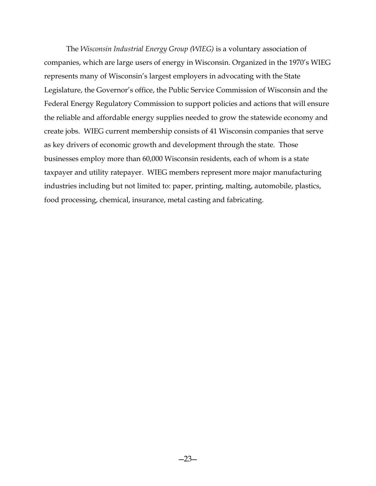The *Wisconsin Industrial Energy Group (WIEG)* is a voluntary association of companies, which are large users of energy in Wisconsin. Organized in the 1970's WIEG represents many of Wisconsin's largest employers in advocating with the State Legislature, the Governor's office, the Public Service Commission of Wisconsin and the Federal Energy Regulatory Commission to support policies and actions that will ensure the reliable and affordable energy supplies needed to grow the statewide economy and create jobs. WIEG current membership consists of 41 Wisconsin companies that serve as key drivers of economic growth and development through the state. Those businesses employ more than 60,000 Wisconsin residents, each of whom is a state taxpayer and utility ratepayer. WIEG members represent more major manufacturing industries including but not limited to: paper, printing, malting, automobile, plastics, food processing, chemical, insurance, metal casting and fabricating.